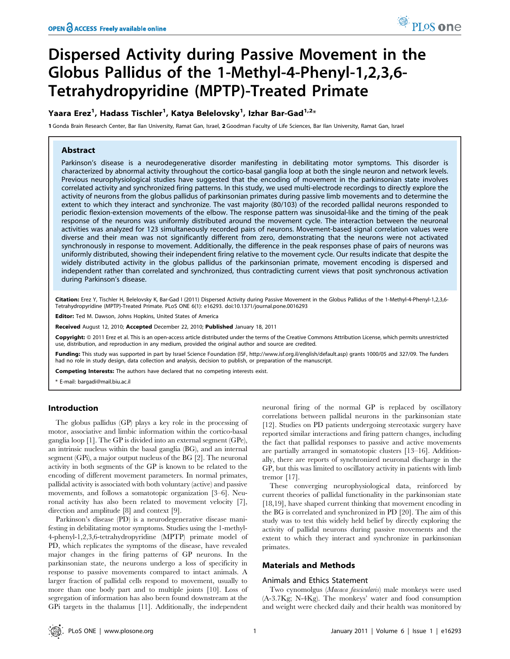# Dispersed Activity during Passive Movement in the Globus Pallidus of the 1-Methyl-4-Phenyl-1,2,3,6- Tetrahydropyridine (MPTP)-Treated Primate

# Yaara Erez<sup>1</sup>, Hadass Tischler<sup>1</sup>, Katya Belelovsky<sup>1</sup>, Izhar Bar-Gad<sup>1,2</sup>\*

1 Gonda Brain Research Center, Bar Ilan University, Ramat Gan, Israel, 2 Goodman Faculty of Life Sciences, Bar Ilan University, Ramat Gan, Israel

# Abstract

Parkinson's disease is a neurodegenerative disorder manifesting in debilitating motor symptoms. This disorder is characterized by abnormal activity throughout the cortico-basal ganglia loop at both the single neuron and network levels. Previous neurophysiological studies have suggested that the encoding of movement in the parkinsonian state involves correlated activity and synchronized firing patterns. In this study, we used multi-electrode recordings to directly explore the activity of neurons from the globus pallidus of parkinsonian primates during passive limb movements and to determine the extent to which they interact and synchronize. The vast majority (80/103) of the recorded pallidal neurons responded to periodic flexion-extension movements of the elbow. The response pattern was sinusoidal-like and the timing of the peak response of the neurons was uniformly distributed around the movement cycle. The interaction between the neuronal activities was analyzed for 123 simultaneously recorded pairs of neurons. Movement-based signal correlation values were diverse and their mean was not significantly different from zero, demonstrating that the neurons were not activated synchronously in response to movement. Additionally, the difference in the peak responses phase of pairs of neurons was uniformly distributed, showing their independent firing relative to the movement cycle. Our results indicate that despite the widely distributed activity in the globus pallidus of the parkinsonian primate, movement encoding is dispersed and independent rather than correlated and synchronized, thus contradicting current views that posit synchronous activation during Parkinson's disease.

Citation: Erez Y, Tischler H, Belelovsky K, Bar-Gad I (2011) Dispersed Activity during Passive Movement in the Globus Pallidus of the 1-Methyl-4-Phenyl-1,2,3,6-Tetrahydropyridine (MPTP)-Treated Primate. PLoS ONE 6(1): e16293. doi:10.1371/journal.pone.0016293

Editor: Ted M. Dawson, Johns Hopkins, United States of America

Received August 12, 2010; Accepted December 22, 2010; Published January 18, 2011

**Copyright:** © 2011 Erez et al. This is an open-access article distributed under the terms of the Creative Commons Attribution License, which permits unrestricted use, distribution, and reproduction in any medium, provided the original author and source are credited.

Funding: This study was supported in part by Israel Science Foundation (ISF, http://www.isf.org.il/english/default.asp) grants 1000/05 and 327/09. The funders had no role in study design, data collection and analysis, decision to publish, or preparation of the manuscript.

Competing Interests: The authors have declared that no competing interests exist.

\* E-mail: bargadi@mail.biu.ac.il

# Introduction

The globus pallidus (GP) plays a key role in the processing of motor, associative and limbic information within the cortico-basal ganglia loop [1]. The GP is divided into an external segment (GPe), an intrinsic nucleus within the basal ganglia (BG), and an internal segment (GPi), a major output nucleus of the BG [2]. The neuronal activity in both segments of the GP is known to be related to the encoding of different movement parameters. In normal primates, pallidal activity is associated with both voluntary (active) and passive movements, and follows a somatotopic organization [3–6]. Neuronal activity has also been related to movement velocity [7], direction and amplitude [8] and context [9].

Parkinson's disease (PD) is a neurodegenerative disease manifesting in debilitating motor symptoms. Studies using the 1-methyl-4-phenyl-1,2,3,6-tetrahydropyridine (MPTP) primate model of PD, which replicates the symptoms of the disease, have revealed major changes in the firing patterns of GP neurons. In the parkinsonian state, the neurons undergo a loss of specificity in response to passive movements compared to intact animals. A larger fraction of pallidal cells respond to movement, usually to more than one body part and to multiple joints [10]. Loss of segregation of information has also been found downstream at the GPi targets in the thalamus [11]. Additionally, the independent

neuronal firing of the normal GP is replaced by oscillatory correlations between pallidal neurons in the parkinsonian state [12]. Studies on PD patients undergoing stereotaxic surgery have reported similar interactions and firing pattern changes, including the fact that pallidal responses to passive and active movements are partially arranged in somatotopic clusters [13–16]. Additionally, there are reports of synchronized neuronal discharge in the GP, but this was limited to oscillatory activity in patients with limb tremor [17].

These converging neurophysiological data, reinforced by current theories of pallidal functionality in the parkinsonian state [18,19], have shaped current thinking that movement encoding in the BG is correlated and synchronized in PD [20]. The aim of this study was to test this widely held belief by directly exploring the activity of pallidal neurons during passive movements and the extent to which they interact and synchronize in parkinsonian primates.

# Materials and Methods

#### Animals and Ethics Statement

Two cynomolgus (Macaca fascicularis) male monkeys were used (A-3.7Kg; N-4Kg). The monkeys' water and food consumption and weight were checked daily and their health was monitored by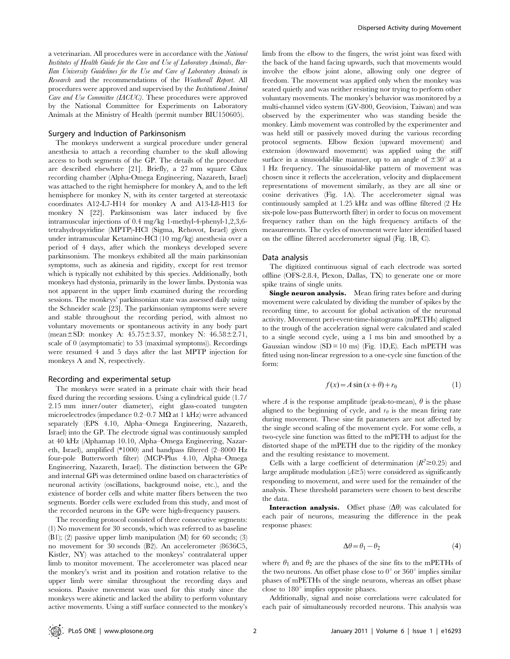a veterinarian. All procedures were in accordance with the National Institutes of Health Guide for the Care and Use of Laboratory Animals, Bar-Ilan University Guidelines for the Use and Care of Laboratory Animals in Research and the recommendations of the Weatherall Report. All procedures were approved and supervised by the Institutional Animal Care and Use Committee (IACUC). These procedures were approved by the National Committee for Experiments on Laboratory Animals at the Ministry of Health (permit number BIU150605).

#### Surgery and Induction of Parkinsonism

The monkeys underwent a surgical procedure under general anesthesia to attach a recording chamber to the skull allowing access to both segments of the GP. The details of the procedure are described elsewhere [21]. Briefly, a 27 mm square Cilux recording chamber (Alpha-Omega Engineering, Nazareth, Israel) was attached to the right hemisphere for monkey A, and to the left hemisphere for monkey N, with its center targeted at stereotaxic coordinates A12-L7-H14 for monkey A and A13-L8-H13 for monkey N [22]. Parkinsonism was later induced by five intramuscular injections of 0.4 mg/kg 1-methyl-4-phenyl-1,2,3,6 tetrahydropyridine (MPTP)-HCl (Sigma, Rehovot, Israel) given under intramuscular Ketamine-HCl (10 mg/kg) anesthesia over a period of 4 days, after which the monkeys developed severe parkinsonism. The monkeys exhibited all the main parkinsonian symptoms, such as akinesia and rigidity, except for rest tremor which is typically not exhibited by this species. Additionally, both monkeys had dystonia, primarily in the lower limbs. Dystonia was not apparent in the upper limb examined during the recording sessions. The monkeys' parkinsonian state was assessed daily using the Schneider scale [23]. The parkinsonian symptoms were severe and stable throughout the recording period, with almost no voluntary movements or spontaneous activity in any body part (mean $\pm$ SD: monkey A: 45.75 $\pm$ 3.37, monkey N: 46.58 $\pm$ 2.71, scale of 0 (asymptomatic) to 53 (maximal symptoms)). Recordings were resumed 4 and 5 days after the last MPTP injection for monkeys A and N, respectively.

#### Recording and experimental setup

The monkeys were seated in a primate chair with their head fixed during the recording sessions. Using a cylindrical guide (1.7/ 2.15 mm inner/outer diameter), eight glass-coated tungsten microelectrodes (impedance  $0.2-0.7$  M $\Omega$  at 1 kHz) were advanced separately (EPS 4.10, Alpha–Omega Engineering, Nazareth, Israel) into the GP. The electrode signal was continuously sampled at 40 kHz (Alphamap 10.10, Alpha–Omega Engineering, Nazareth, Israel), amplified (\*1000) and bandpass filtered (2–8000 Hz four-pole Butterworth filter) (MCP-Plus 4.10, Alpha–Omega Engineering, Nazareth, Israel). The distinction between the GPe and internal GPi was determined online based on characteristics of neuronal activity (oscillations, background noise, etc.), and the existence of border cells and white matter fibers between the two segments. Border cells were excluded from this study, and most of the recorded neurons in the GPe were high-frequency pausers.

The recording protocol consisted of three consecutive segments: (1) No movement for 30 seconds, which was referred to as baseline (B1); (2) passive upper limb manipulation (M) for 60 seconds; (3) no movement for 30 seconds (B2). An accelerometer (8636C5, Kistler, NY) was attached to the monkeys' contralateral upper limb to monitor movement. The accelerometer was placed near the monkey's wrist and its position and rotation relative to the upper limb were similar throughout the recording days and sessions. Passive movement was used for this study since the monkeys were akinetic and lacked the ability to perform voluntary active movements. Using a stiff surface connected to the monkey's limb from the elbow to the fingers, the wrist joint was fixed with the back of the hand facing upwards, such that movements would involve the elbow joint alone, allowing only one degree of freedom. The movement was applied only when the monkey was seated quietly and was neither resisting nor trying to perform other voluntary movements. The monkey's behavior was monitored by a multi-channel video system (GV-800, Geovision, Taiwan) and was observed by the experimenter who was standing beside the monkey. Limb movement was controlled by the experimenter and was held still or passively moved during the various recording protocol segments. Elbow flexion (upward movement) and extension (downward movement) was applied using the stiff surface in a sinusoidal-like manner, up to an angle of  $\pm 30^{\circ}$  at a 1 Hz frequency. The sinusoidal-like pattern of movement was chosen since it reflects the acceleration, velocity and displacement representations of movement similarly, as they are all sine or cosine derivatives (Fig. 1A). The accelerometer signal was continuously sampled at 1.25 kHz and was offline filtered (2 Hz six-pole low-pass Butterworth filter) in order to focus on movement frequency rather than on the high frequency artifacts of the measurements. The cycles of movement were later identified based on the offline filtered accelerometer signal (Fig. 1B, C).

#### Data analysis

The digitized continuous signal of each electrode was sorted offline (OFS-2.8.4, Plexon, Dallas, TX) to generate one or more spike trains of single units.

Single neuron analysis. Mean firing rates before and during movement were calculated by dividing the number of spikes by the recording time, to account for global activation of the neuronal activity. Movement peri-event-time-histograms (mPETHs) aligned to the trough of the acceleration signal were calculated and scaled to a single second cycle, using a 1 ms bin and smoothed by a Gaussian window  $(SD = 10 \text{ ms})$  (Fig. 1D, E). Each mPETH was fitted using non-linear regression to a one-cycle sine function of the form:

$$
f(x) = A \sin(x + \theta) + r_0 \tag{1}
$$

where A is the response amplitude (peak-to-mean),  $\theta$  is the phase aligned to the beginning of cycle, and  $r<sub>0</sub>$  is the mean firing rate during movement. These sine fit parameters are not affected by the single second scaling of the movement cycle. For some cells, a two-cycle sine function was fitted to the mPETH to adjust for the distorted shape of the mPETH due to the rigidity of the monkey and the resulting resistance to movement.

Cells with a large coefficient of determination  $(R^2 \ge 0.25)$  and large amplitude modulation  $(A\geq 5)$  were considered as significantly responding to movement, and were used for the remainder of the analysis. These threshold parameters were chosen to best describe the data.

**Interaction analysis.** Offset phase  $(\Delta \theta)$  was calculated for each pair of neurons, measuring the difference in the peak response phases:

$$
\Delta \theta = \theta_1 - \theta_2 \tag{4}
$$

where  $\theta_1$  and  $\theta_2$  are the phases of the sine fits to the mPETHs of the two neurons. An offset phase close to  $0^{\circ}$  or  $360^{\circ}$  implies similar phases of mPETHs of the single neurons, whereas an offset phase close to  $180^\circ$  implies opposite phases.

Additionally, signal and noise correlations were calculated for each pair of simultaneously recorded neurons. This analysis was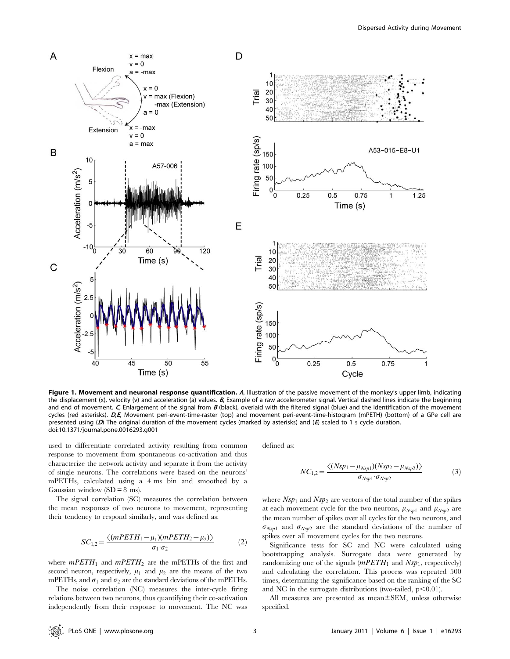

Figure 1. Movement and neuronal response quantification. A, Illustration of the passive movement of the monkey's upper limb, indicating the displacement (x), velocity (v) and acceleration (a) values.  $B$ , Example of a raw accelerometer signal. Vertical dashed lines indicate the beginning and end of movement.  $C$ , Enlargement of the signal from  $B$  (black), overlaid with the filtered signal (blue) and the identification of the movement cycles (red asterisks). D,E, Movement peri-event-time-raster (top) and movement peri-event-time-histogram (mPETH) (bottom) of a GPe cell are presented using (D) The original duration of the movement cycles (marked by asterisks) and (E) scaled to 1 s cycle duration. doi:10.1371/journal.pone.0016293.g001

used to differentiate correlated activity resulting from common response to movement from spontaneous co-activation and thus characterize the network activity and separate it from the activity of single neurons. The correlations were based on the neurons' mPETHs, calculated using a 4 ms bin and smoothed by a Gaussian window  $(SD = 8 \text{ ms})$ .

The signal correlation (SC) measures the correlation between the mean responses of two neurons to movement, representing their tendency to respond similarly, and was defined as:

$$
SC_{1,2} = \frac{\langle (mPETH_1 - \mu_1)(mPETH_2 - \mu_2) \rangle}{\sigma_1 \cdot \sigma_2} \tag{2}
$$

where  $mPETH_1$  and  $mPETH_2$  are the mPETHs of the first and second neuron, respectively,  $\mu_1$  and  $\mu_2$  are the means of the two mPETHs, and  $\sigma_1$  and  $\sigma_2$  are the standard deviations of the mPETHs.

The noise correlation (NC) measures the inter-cycle firing relations between two neurons, thus quantifying their co-activation independently from their response to movement. The NC was defined as:

$$
NC_{1,2} = \frac{\langle (Nsp_1 - \mu_{Nsp1})(Nsp_2 - \mu_{Nsp2}) \rangle}{\sigma_{Nsp1} \cdot \sigma_{Nsp2}}
$$
(3)

where  $Nsp_1$  and  $Nsp_2$  are vectors of the total number of the spikes at each movement cycle for the two neurons,  $\mu_{Nsp1}$  and  $\mu_{Nsp2}$  are the mean number of spikes over all cycles for the two neurons, and  $\sigma_{Nsp1}$  and  $\sigma_{Nsp2}$  are the standard deviations of the number of spikes over all movement cycles for the two neurons.

Significance tests for SC and NC were calculated using bootstrapping analysis. Surrogate data were generated by randomizing one of the signals  $(mPETH_1$  and  $Nsp_1$ , respectively) and calculating the correlation. This process was repeated 500 times, determining the significance based on the ranking of the SC and NC in the surrogate distributions (two-tailed,  $p<0.01$ ).

All measures are presented as mean $\pm$ SEM, unless otherwise specified.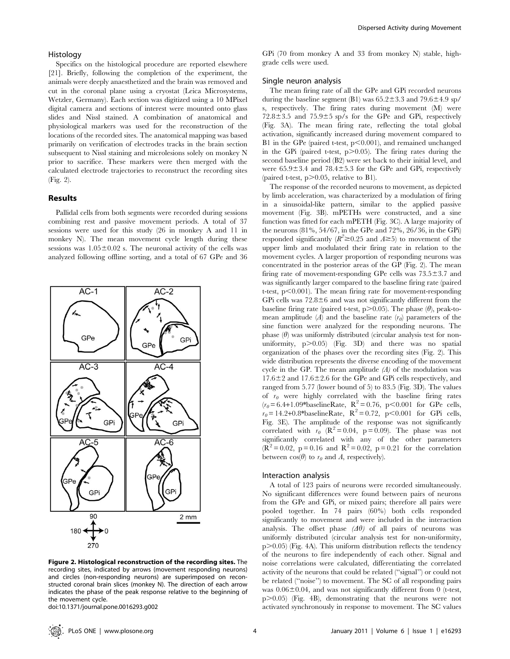#### Histology

Specifics on the histological procedure are reported elsewhere [21]. Briefly, following the completion of the experiment, the animals were deeply anaesthetized and the brain was removed and cut in the coronal plane using a cryostat (Leica Microsystems, Wetzler, Germany). Each section was digitized using a 10 MPixel digital camera and sections of interest were mounted onto glass slides and Nissl stained. A combination of anatomical and physiological markers was used for the reconstruction of the locations of the recorded sites. The anatomical mapping was based primarily on verification of electrodes tracks in the brain section subsequent to Nissl staining and microlesions solely on monkey N prior to sacrifice. These markers were then merged with the calculated electrode trajectories to reconstruct the recording sites (Fig. 2).

# Results

Pallidal cells from both segments were recorded during sessions combining rest and passive movement periods. A total of 37 sessions were used for this study (26 in monkey A and 11 in monkey N). The mean movement cycle length during these sessions was  $1.05\pm0.02$  s. The neuronal activity of the cells was analyzed following offline sorting, and a total of 67 GPe and 36



Figure 2. Histological reconstruction of the recording sites. The recording sites, indicated by arrows (movement responding neurons) and circles (non-responding neurons) are superimposed on reconstructed coronal brain slices (monkey N). The direction of each arrow indicates the phase of the peak response relative to the beginning of the movement cycle.

doi:10.1371/journal.pone.0016293.g002

GPi (70 from monkey A and 33 from monkey N) stable, highgrade cells were used.

# Single neuron analysis

The mean firing rate of all the GPe and GPi recorded neurons during the baseline segment (B1) was  $65.2 \pm 3.3$  and  $79.6 \pm 4.9$  sp/ s, respectively. The firing rates during movement (M) were  $72.8\pm3.5$  and  $75.9\pm5$  sp/s for the GPe and GPi, respectively (Fig. 3A). The mean firing rate, reflecting the total global activation, significantly increased during movement compared to B1 in the GPe (paired t-test,  $p<0.001$ ), and remained unchanged in the GPi (paired t-test,  $p > 0.05$ ). The firing rates during the second baseline period (B2) were set back to their initial level, and were  $65.9 \pm 3.4$  and  $78.4 \pm 5.3$  for the GPe and GPi, respectively (paired t-test,  $p > 0.05$ , relative to B1).

The response of the recorded neurons to movement, as depicted by limb acceleration, was characterized by a modulation of firing in a sinusoidal-like pattern, similar to the applied passive movement (Fig. 3B). mPETHs were constructed, and a sine function was fitted for each mPETH (Fig. 3C). A large majority of the neurons (81%, 54/67, in the GPe and 72%, 26/36, in the GPi) responded significantly ( $R^2 \ge 0.25$  and  $A \ge 5$ ) to movement of the upper limb and modulated their firing rate in relation to the movement cycles. A larger proportion of responding neurons was concentrated in the posterior areas of the GP (Fig. 2). The mean firing rate of movement-responding GPe cells was  $73.5 \pm 3.7$  and was significantly larger compared to the baseline firing rate (paired t-test,  $p<0.001$ ). The mean firing rate for movement-responding GPi cells was  $72.8\pm6$  and was not significantly different from the baseline firing rate (paired t-test,  $p$ >0.05). The phase ( $\theta$ ), peak-tomean amplitude (A) and the baseline rate  $(r_0)$  parameters of the sine function were analyzed for the responding neurons. The phase  $(\theta)$  was uniformly distributed (circular analysis test for nonuniformity,  $p > 0.05$  (Fig. 3D) and there was no spatial organization of the phases over the recording sites (Fig. 2). This wide distribution represents the diverse encoding of the movement cycle in the GP. The mean amplitude  $(A)$  of the modulation was  $17.6\pm2$  and  $17.6\pm2.6$  for the GPe and GPi cells respectively, and ranged from 5.77 (lower bound of 5) to 83.5 (Fig. 3D). The values of  $r_0$  were highly correlated with the baseline firing rates  $(r_0 = 6.4+1.09*$ baselineRate, R<sup>2</sup> = 0.76, p<0.001 for GPe cells,  $r_0 = 14.2 + 0.8*$ baselineRate, R<sup>2</sup> = 0.72, p<0.001 for GPi cells, Fig. 3E). The amplitude of the response was not significantly correlated with  $r_{0}$  ( $\mathbb{R}^{2} = 0.04$ , p = 0.09). The phase was not significantly correlated with any of the other parameters  $(R^2 = 0.02, p = 0.16$  and  $R^2 = 0.02, p = 0.21$  for the correlation between  $cos(\theta)$  to  $r_{\theta}$  and A, respectively).

#### Interaction analysis

A total of 123 pairs of neurons were recorded simultaneously. No significant differences were found between pairs of neurons from the GPe and GPi, or mixed pairs; therefore all pairs were pooled together. In 74 pairs (60%) both cells responded significantly to movement and were included in the interaction analysis. The offset phase  $(\Delta \theta)$  of all pairs of neurons was uniformly distributed (circular analysis test for non-uniformity,  $p$  $>$ 0.05) (Fig. 4A). This uniform distribution reflects the tendency of the neurons to fire independently of each other. Signal and noise correlations were calculated, differentiating the correlated activity of the neurons that could be related (''signal'') or could not be related (''noise'') to movement. The SC of all responding pairs was  $0.06\pm0.04$ , and was not significantly different from 0 (t-test, p.0.05) (Fig. 4B), demonstrating that the neurons were not activated synchronously in response to movement. The SC values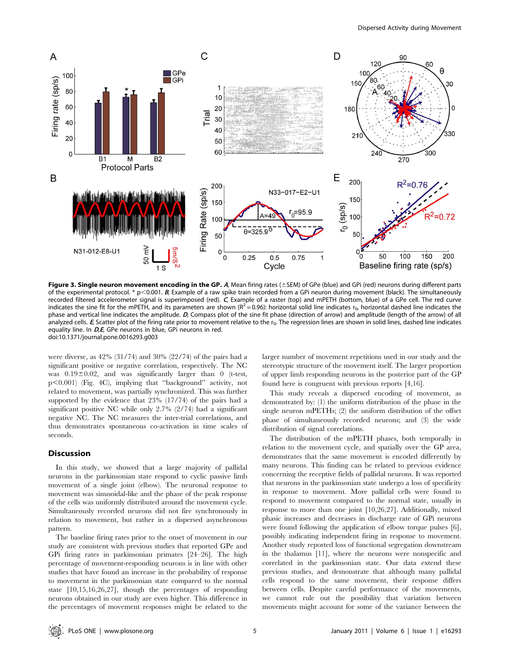

Figure 3. Single neuron movement encoding in the GP.  $A$ , Mean firing rates ( $\pm$ SEM) of GPe (blue) and GPi (red) neurons during different parts of the experimental protocol. \* p<0.001. B, Example of a raw spike train recorded from a GPi neuron during movement (black). The simultaneously recorded filtered accelerometer signal is superimposed (red). <sup>C</sup>, Example of a raster (top) and mPETH (bottom, blue) of a GPe cell. The red curve indicates the sine fit for the mPETH, and its parameters are shown  $(R^2 = 0.96)$ : horizontal solid line indicates r<sub>0</sub>, horizontal dashed line indicates the phase and vertical line indicates the amplitude. D, Compass plot of the sine fit phase (direction of arrow) and amplitude (length of the arrow) of all analyzed cells.  $E$ , Scatter plot of the firing rate prior to movement relative to the  $r_0$ . The regression lines are shown in solid lines, dashed line indicates equality line. In D,E, GPe neurons in blue, GPi neurons in red. doi:10.1371/journal.pone.0016293.g003

were diverse, as 42% (31/74) and 30% (22/74) of the pairs had a significant positive or negative correlation, respectively. The NC was  $0.19\pm0.02$ , and was significantly larger than 0 (t-test, p,0.001) (Fig. 4C), implying that ''background'' activity, not related to movement, was partially synchronized. This was further supported by the evidence that 23% (17/74) of the pairs had a significant positive NC while only 2.7% (2/74) had a significant negative NC. The NC measures the inter-trial correlations, and thus demonstrates spontaneous co-activation in time scales of seconds.

### Discussion

In this study, we showed that a large majority of pallidal neurons in the parkinsonian state respond to cyclic passive limb movement of a single joint (elbow). The neuronal response to movement was sinusoidal-like and the phase of the peak response of the cells was uniformly distributed around the movement cycle. Simultaneously recorded neurons did not fire synchronously in relation to movement, but rather in a dispersed asynchronous pattern.

The baseline firing rates prior to the onset of movement in our study are consistent with previous studies that reported GPe and GPi firing rates in parkinsonian primates [24–26]. The high percentage of movement-responding neurons is in line with other studies that have found an increase in the probability of response to movement in the parkinsonian state compared to the normal state [10,15,16,26,27], though the percentages of responding neurons obtained in our study are even higher. This difference in the percentages of movement responses might be related to the larger number of movement repetitions used in our study and the stereotypic structure of the movement itself. The larger proportion of upper limb responding neurons in the posterior part of the GP found here is congruent with previous reports [4,16].

This study reveals a dispersed encoding of movement, as demonstrated by: (1) the uniform distribution of the phase in the single neuron mPETHs; (2) the uniform distribution of the offset phase of simultaneously recorded neurons; and (3) the wide distribution of signal correlations.

The distribution of the mPETH phases, both temporally in relation to the movement cycle, and spatially over the GP area, demonstrates that the same movement is encoded differently by many neurons. This finding can be related to previous evidence concerning the receptive fields of pallidal neurons. It was reported that neurons in the parkinsonian state undergo a loss of specificity in response to movement. More pallidal cells were found to respond to movement compared to the normal state, usually in response to more than one joint [10,26,27]. Additionally, mixed phasic increases and decreases in discharge rate of GPi neurons were found following the application of elbow torque pulses [6], possibly indicating independent firing in response to movement. Another study reported loss of functional segregation downstream in the thalamus [11], where the neurons were nonspecific and correlated in the parkinsonian state. Our data extend these previous studies, and demonstrate that although many pallidal cells respond to the same movement, their response differs between cells. Despite careful performance of the movements, we cannot rule out the possibility that variation between movements might account for some of the variance between the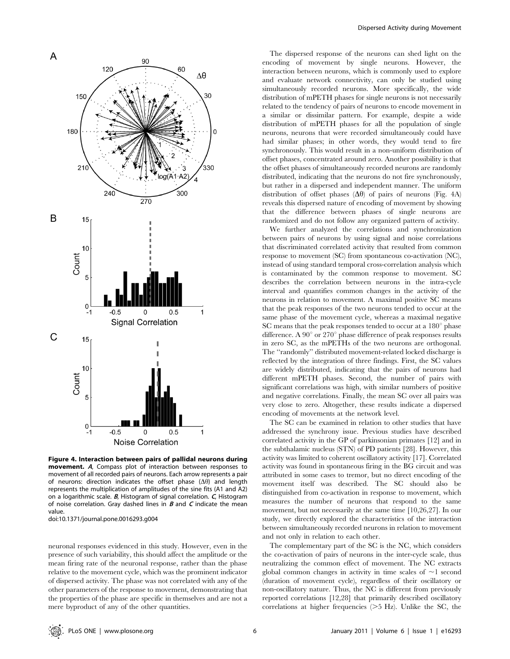

Figure 4. Interaction between pairs of pallidal neurons during movement. <sup>A</sup>, Compass plot of interaction between responses to movement of all recorded pairs of neurons. Each arrow represents a pair of neurons: direction indicates the offset phase  $(\Delta\theta)$  and length represents the multiplication of amplitudes of the sine fits (A1 and A2) on a logarithmic scale.  $B$ , Histogram of signal correlation.  $C$ , Histogram of noise correlation. Gray dashed lines in  $B$  and  $C$  indicate the mean value.

doi:10.1371/journal.pone.0016293.g004

neuronal responses evidenced in this study. However, even in the presence of such variability, this should affect the amplitude or the mean firing rate of the neuronal response, rather than the phase relative to the movement cycle, which was the prominent indicator of dispersed activity. The phase was not correlated with any of the other parameters of the response to movement, demonstrating that the properties of the phase are specific in themselves and are not a mere byproduct of any of the other quantities.

The dispersed response of the neurons can shed light on the encoding of movement by single neurons. However, the interaction between neurons, which is commonly used to explore and evaluate network connectivity, can only be studied using simultaneously recorded neurons. More specifically, the wide distribution of mPETH phases for single neurons is not necessarily related to the tendency of pairs of neurons to encode movement in a similar or dissimilar pattern. For example, despite a wide distribution of mPETH phases for all the population of single neurons, neurons that were recorded simultaneously could have had similar phases; in other words, they would tend to fire synchronously. This would result in a non-uniform distribution of offset phases, concentrated around zero. Another possibility is that the offset phases of simultaneously recorded neurons are randomly distributed, indicating that the neurons do not fire synchronously, but rather in a dispersed and independent manner. The uniform distribution of offset phases  $(\Delta\theta)$  of pairs of neurons (Fig. 4A) reveals this dispersed nature of encoding of movement by showing that the difference between phases of single neurons are randomized and do not follow any organized pattern of activity.

We further analyzed the correlations and synchronization between pairs of neurons by using signal and noise correlations that discriminated correlated activity that resulted from common response to movement (SC) from spontaneous co-activation (NC), instead of using standard temporal cross-correlation analysis which is contaminated by the common response to movement. SC describes the correlation between neurons in the intra-cycle interval and quantifies common changes in the activity of the neurons in relation to movement. A maximal positive SC means that the peak responses of the two neurons tended to occur at the same phase of the movement cycle, whereas a maximal negative SC means that the peak responses tended to occur at a  $180^\circ$  phase difference. A  $90^{\circ}$  or  $270^{\circ}$  phase difference of peak responses results in zero SC, as the mPETHs of the two neurons are orthogonal. The ''randomly'' distributed movement-related locked discharge is reflected by the integration of three findings. First, the SC values are widely distributed, indicating that the pairs of neurons had different mPETH phases. Second, the number of pairs with significant correlations was high, with similar numbers of positive and negative correlations. Finally, the mean SC over all pairs was very close to zero. Altogether, these results indicate a dispersed encoding of movements at the network level.

The SC can be examined in relation to other studies that have addressed the synchrony issue. Previous studies have described correlated activity in the GP of parkinsonian primates [12] and in the subthalamic nucleus (STN) of PD patients [28]. However, this activity was limited to coherent oscillatory activity [17]. Correlated activity was found in spontaneous firing in the BG circuit and was attributed in some cases to tremor, but no direct encoding of the movement itself was described. The SC should also be distinguished from co-activation in response to movement, which measures the number of neurons that respond to the same movement, but not necessarily at the same time [10,26,27]. In our study, we directly explored the characteristics of the interaction between simultaneously recorded neurons in relation to movement and not only in relation to each other.

The complementary part of the SC is the NC, which considers the co-activation of pairs of neurons in the inter-cycle scale, thus neutralizing the common effect of movement. The NC extracts global common changes in activity in time scales of  $\sim$ 1 second (duration of movement cycle), regardless of their oscillatory or non-oscillatory nature. Thus, the NC is different from previously reported correlations [12,28] that primarily described oscillatory correlations at higher frequencies  $(>5$  Hz). Unlike the SC, the